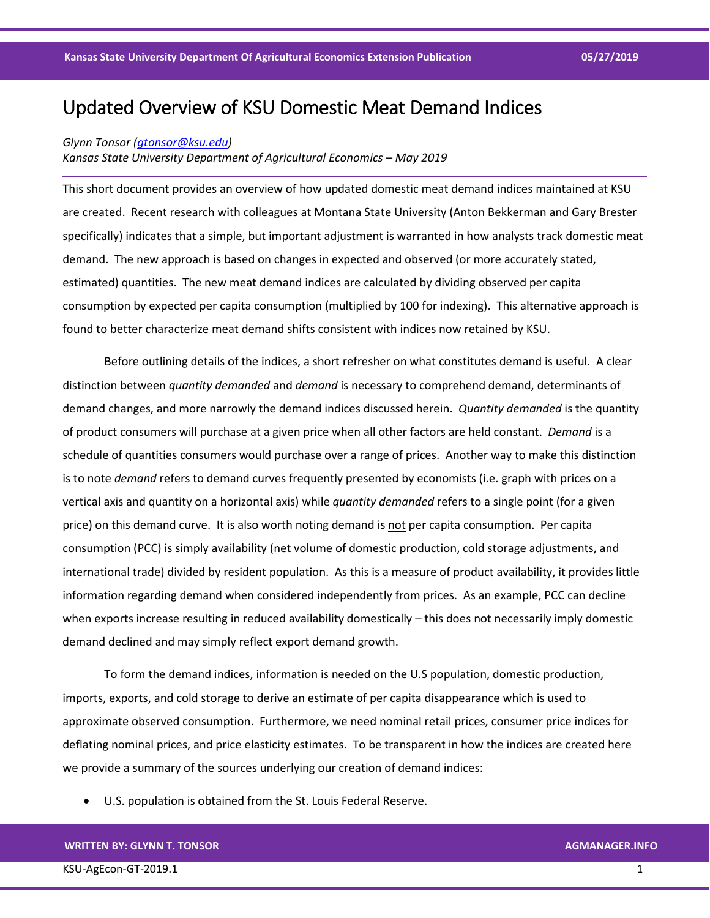# Updated Overview of KSU Domestic Meat Demand Indices

## *Glynn Tonsor [\(gtonsor@ksu.edu\)](mailto:gtonsor@ksu.edu)*

## *Kansas State University Department of Agricultural Economics – May 2019*

This short document provides an overview of how updated domestic meat demand indices maintained at KSU are created. Recent research with colleagues at Montana State University (Anton Bekkerman and Gary Brester specifically) indicates that a simple, but important adjustment is warranted in how analysts track domestic meat demand. The new approach is based on changes in expected and observed (or more accurately stated, estimated) quantities. The new meat demand indices are calculated by dividing observed per capita consumption by expected per capita consumption (multiplied by 100 for indexing). This alternative approach is found to better characterize meat demand shifts consistent with indices now retained by KSU.

Before outlining details of the indices, a short refresher on what constitutes demand is useful. A clear distinction between *quantity demanded* and *demand* is necessary to comprehend demand, determinants of demand changes, and more narrowly the demand indices discussed herein. *Quantity demanded* is the quantity of product consumers will purchase at a given price when all other factors are held constant. *Demand* is a schedule of quantities consumers would purchase over a range of prices. Another way to make this distinction is to note *demand* refers to demand curves frequently presented by economists (i.e. graph with prices on a vertical axis and quantity on a horizontal axis) while *quantity demanded* refers to a single point (for a given price) on this demand curve. It is also worth noting demand is not per capita consumption. Per capita consumption (PCC) is simply availability (net volume of domestic production, cold storage adjustments, and international trade) divided by resident population. As this is a measure of product availability, it provides little information regarding demand when considered independently from prices. As an example, PCC can decline when exports increase resulting in reduced availability domestically – this does not necessarily imply domestic demand declined and may simply reflect export demand growth.

To form the demand indices, information is needed on the U.S population, domestic production, imports, exports, and cold storage to derive an estimate of per capita disappearance which is used to approximate observed consumption. Furthermore, we need nominal retail prices, consumer price indices for deflating nominal prices, and price elasticity estimates. To be transparent in how the indices are created here we provide a summary of the sources underlying our creation of demand indices:

• U.S. population is obtained from the St. Louis Federal Reserve.